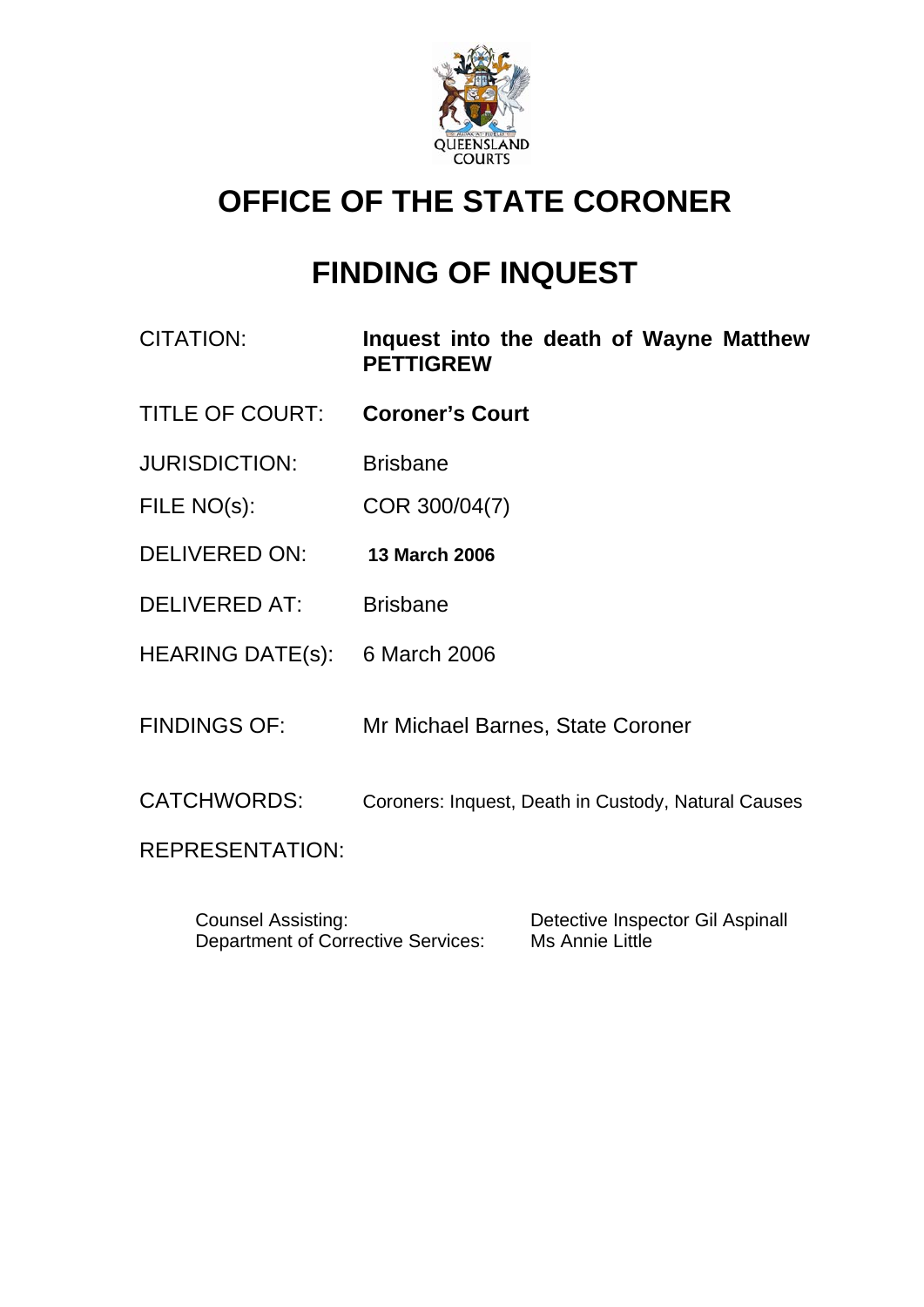

# **OFFICE OF THE STATE CORONER**

# **FINDING OF INQUEST**

- CITATION: **Inquest into the death of Wayne Matthew PETTIGREW**
- TITLE OF COURT: **Coroner's Court**
- JURISDICTION: Brisbane
- FILE NO(s): COR 300/04(7)
- DELIVERED ON: **13 March 2006**
- DELIVERED AT: Brisbane
- HEARING DATE(s): 6 March 2006
- FINDINGS OF: Mr Michael Barnes, State Coroner
- CATCHWORDS: Coroners: Inquest, Death in Custody, Natural Causes

REPRESENTATION:

 Counsel Assisting: Detective Inspector Gil Aspinall Department of Corrective Services: Ms Annie Little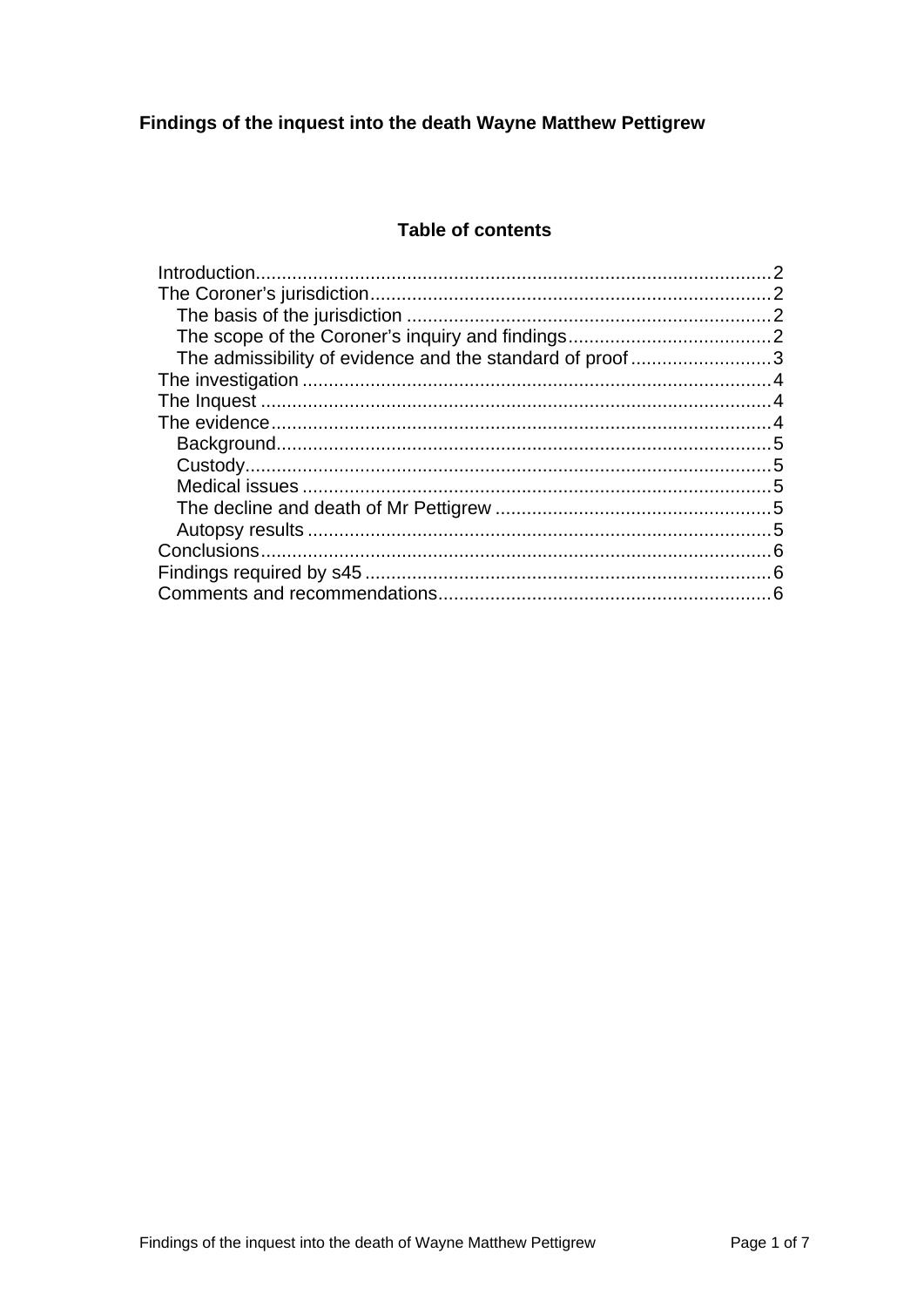### **Table of contents**

| The admissibility of evidence and the standard of proof3 |  |
|----------------------------------------------------------|--|
|                                                          |  |
|                                                          |  |
|                                                          |  |
|                                                          |  |
|                                                          |  |
|                                                          |  |
|                                                          |  |
|                                                          |  |
|                                                          |  |
|                                                          |  |
|                                                          |  |
|                                                          |  |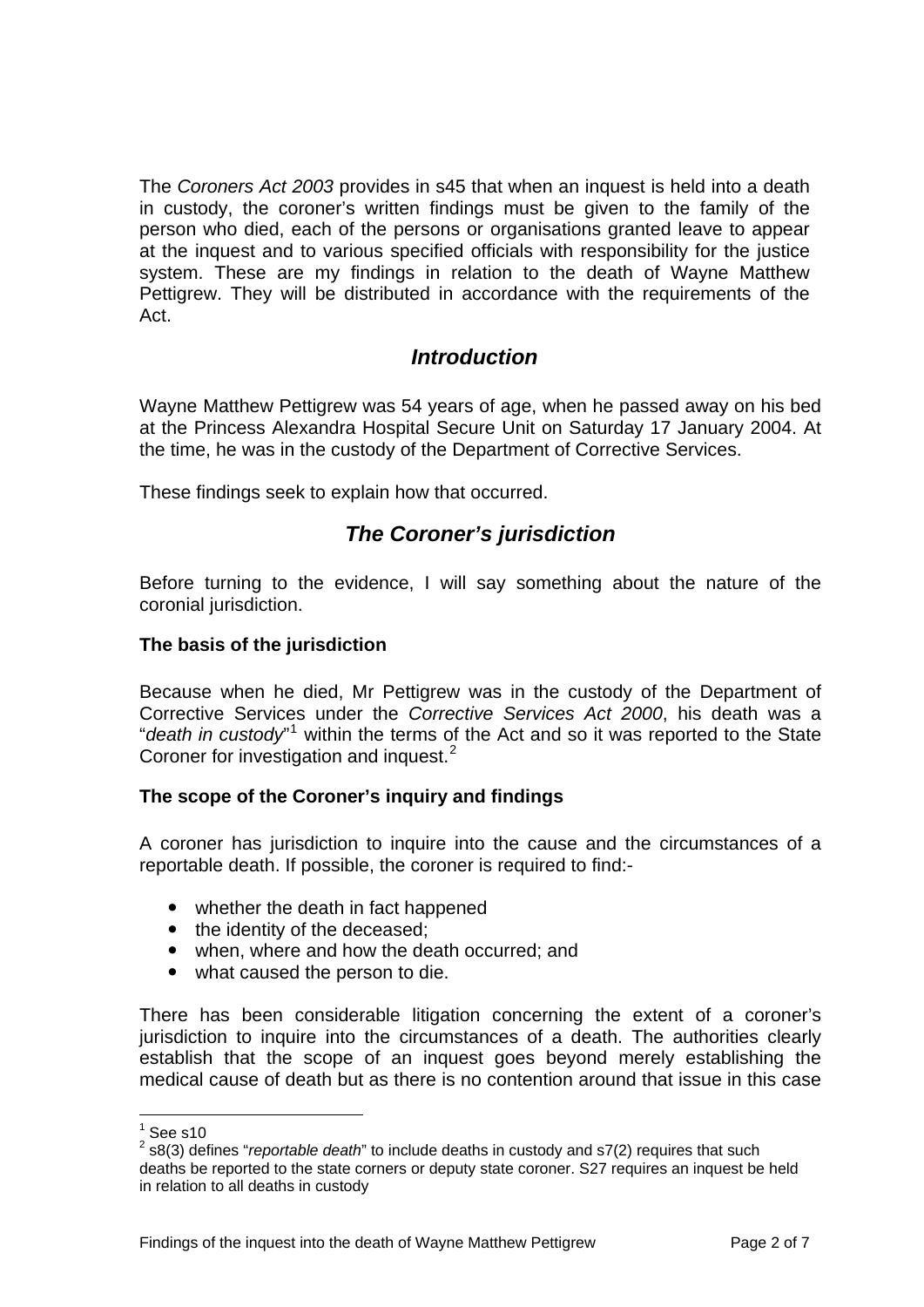<span id="page-2-0"></span>The *Coroners Act 2003* provides in s45 that when an inquest is held into a death in custody, the coroner's written findings must be given to the family of the person who died, each of the persons or organisations granted leave to appear at the inquest and to various specified officials with responsibility for the justice system. These are my findings in relation to the death of Wayne Matthew Pettigrew. They will be distributed in accordance with the requirements of the Act.

## *Introduction*

Wayne Matthew Pettigrew was 54 years of age, when he passed away on his bed at the Princess Alexandra Hospital Secure Unit on Saturday 17 January 2004. At the time, he was in the custody of the Department of Corrective Services.

These findings seek to explain how that occurred.

# *The Coroner's jurisdiction*

Before turning to the evidence, I will say something about the nature of the coronial jurisdiction.

#### **The basis of the jurisdiction**

Because when he died, Mr Pettigrew was in the custody of the Department of Corrective Services under the *Corrective Services Act 2000*, his death was a "*death in custody*"<sup>[1](#page-2-1)</sup> within the terms of the Act and so it was reported to the State Coroner for investigation and inquest.<sup>[2](#page-2-2)</sup>

#### **The scope of the Coroner's inquiry and findings**

A coroner has jurisdiction to inquire into the cause and the circumstances of a reportable death. If possible, the coroner is required to find:-

- whether the death in fact happened
- the identity of the deceased;
- when, where and how the death occurred; and
- what caused the person to die.

There has been considerable litigation concerning the extent of a coroner's jurisdiction to inquire into the circumstances of a death. The authorities clearly establish that the scope of an inquest goes beyond merely establishing the medical cause of death but as there is no contention around that issue in this case

 $\frac{1}{1}$ See s10

<span id="page-2-2"></span><span id="page-2-1"></span><sup>2</sup> s8(3) defines "*reportable death*" to include deaths in custody and s7(2) requires that such deaths be reported to the state corners or deputy state coroner. S27 requires an inquest be held in relation to all deaths in custody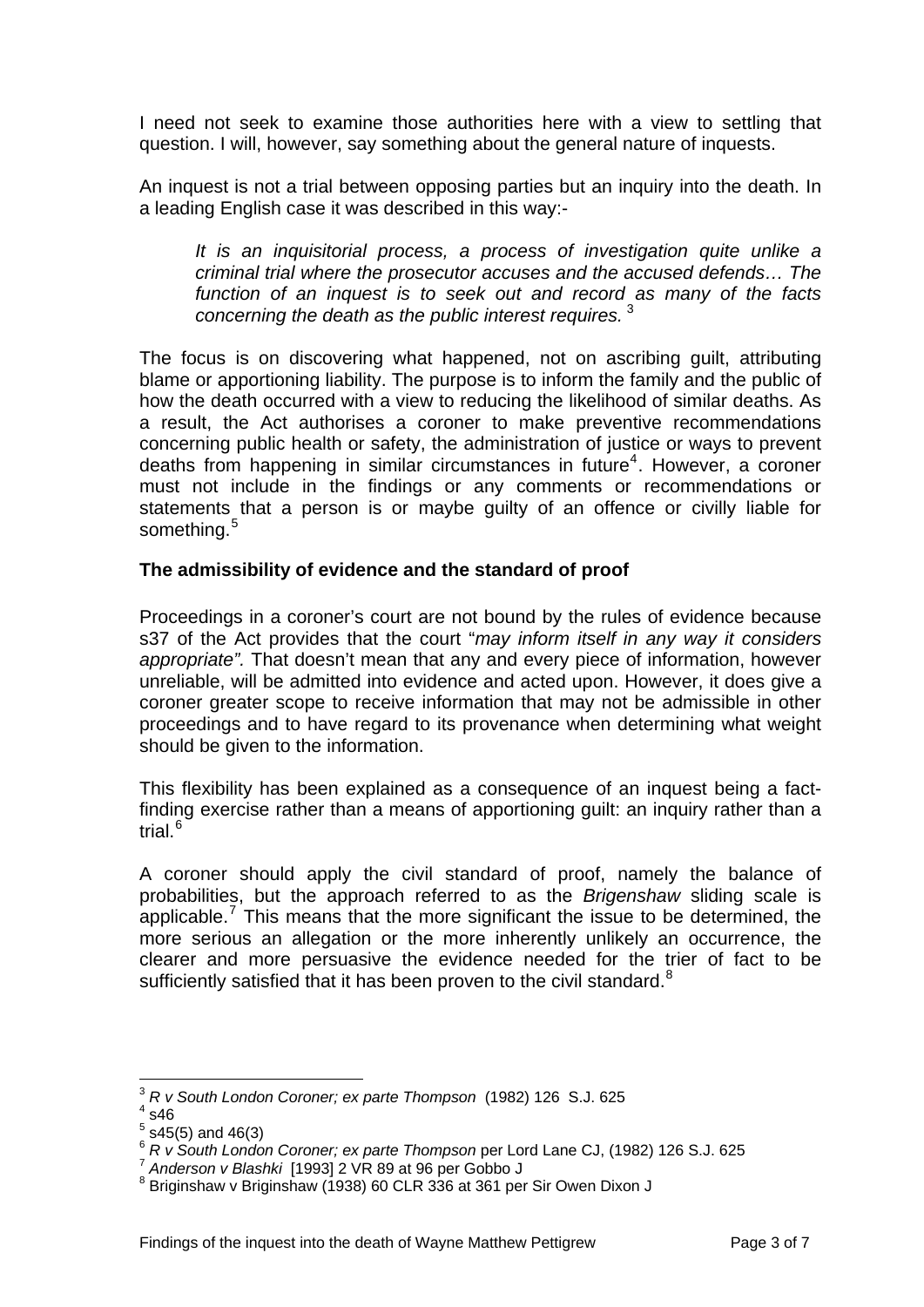<span id="page-3-0"></span>I need not seek to examine those authorities here with a view to settling that question. I will, however, say something about the general nature of inquests.

An inquest is not a trial between opposing parties but an inquiry into the death. In a leading English case it was described in this way:-

*It is an inquisitorial process, a process of investigation quite unlike a criminal trial where the prosecutor accuses and the accused defends… The function of an inquest is to seek out and record as many of the facts concerning the death as the public interest requires.* [3](#page-3-1)

The focus is on discovering what happened, not on ascribing guilt, attributing blame or apportioning liability. The purpose is to inform the family and the public of how the death occurred with a view to reducing the likelihood of similar deaths. As a result, the Act authorises a coroner to make preventive recommendations concerning public health or safety, the administration of justice or ways to prevent deaths from happening in similar circumstances in future<sup>[4](#page-3-2)</sup>. However, a coroner must not include in the findings or any comments or recommendations or statements that a person is or maybe guilty of an offence or civilly liable for something.<sup>[5](#page-3-3)</sup>

#### **The admissibility of evidence and the standard of proof**

Proceedings in a coroner's court are not bound by the rules of evidence because s37 of the Act provides that the court "*may inform itself in any way it considers appropriate".* That doesn't mean that any and every piece of information, however unreliable, will be admitted into evidence and acted upon. However, it does give a coroner greater scope to receive information that may not be admissible in other proceedings and to have regard to its provenance when determining what weight should be given to the information.

This flexibility has been explained as a consequence of an inquest being a factfinding exercise rather than a means of apportioning guilt: an inquiry rather than a trial.<sup>[6](#page-3-4)</sup>

A coroner should apply the civil standard of proof, namely the balance of probabilities, but the approach referred to as the *Brigenshaw* sliding scale is applicable.<sup>[7](#page-3-5)</sup> This means that the more significant the issue to be determined, the more serious an allegation or the more inherently unlikely an occurrence, the clearer and more persuasive the evidence needed for the trier of fact to be sufficiently satisfied that it has been proven to the civil standard. $8$ 

l

<sup>3</sup> *R v South London Coroner; ex parte Thompson* (1982) 126 S.J. 625 4

<span id="page-3-2"></span><span id="page-3-1"></span> $4$  s46

<span id="page-3-3"></span> $5$  s45(5) and 46(3)

<span id="page-3-4"></span><sup>6</sup> *R v South London Coroner; ex parte Thompson* per Lord Lane CJ, (1982) 126 S.J. 625<br><sup>7</sup> Anderson v Blashki [1993] 2 VR 89 at 96 per Gobbo J

<span id="page-3-6"></span><span id="page-3-5"></span> $8$  Briginshaw v Briginshaw (1938) 60 CLR 336 at 361 per Sir Owen Dixon J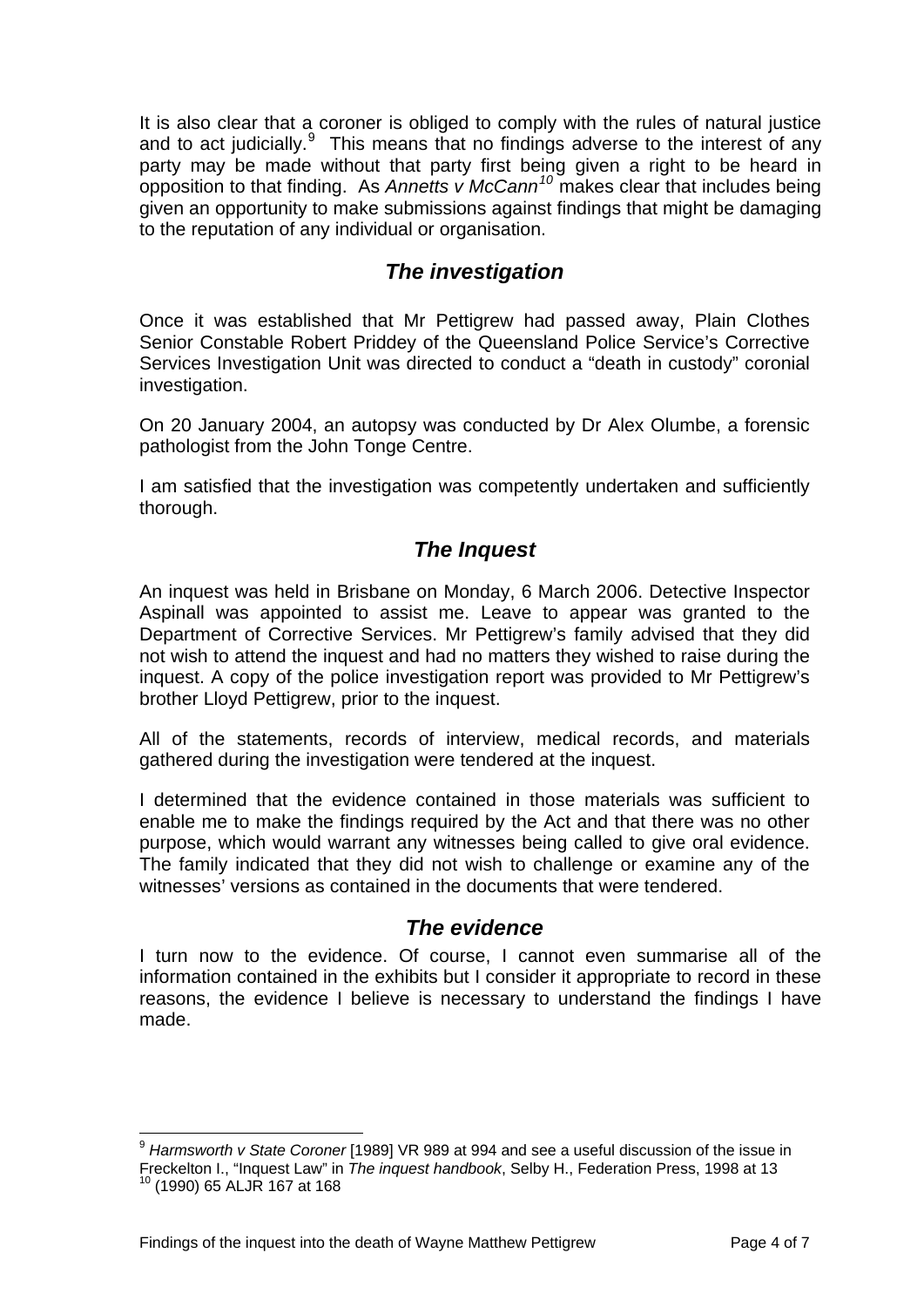<span id="page-4-0"></span>It is also clear that a coroner is obliged to comply with the rules of natural justice and to act judicially. $9$  This means that no findings adverse to the interest of any party may be made without that party first being given a right to be heard in opposition to that finding. As *Annetts v McCann[10](#page-4-2)* makes clear that includes being given an opportunity to make submissions against findings that might be damaging to the reputation of any individual or organisation.

## *The investigation*

Once it was established that Mr Pettigrew had passed away, Plain Clothes Senior Constable Robert Priddey of the Queensland Police Service's Corrective Services Investigation Unit was directed to conduct a "death in custody" coronial investigation.

On 20 January 2004, an autopsy was conducted by Dr Alex Olumbe, a forensic pathologist from the John Tonge Centre.

I am satisfied that the investigation was competently undertaken and sufficiently thorough.

## *The Inquest*

An inquest was held in Brisbane on Monday, 6 March 2006. Detective Inspector Aspinall was appointed to assist me. Leave to appear was granted to the Department of Corrective Services. Mr Pettigrew's family advised that they did not wish to attend the inquest and had no matters they wished to raise during the inquest. A copy of the police investigation report was provided to Mr Pettigrew's brother Lloyd Pettigrew, prior to the inquest.

All of the statements, records of interview, medical records, and materials gathered during the investigation were tendered at the inquest.

I determined that the evidence contained in those materials was sufficient to enable me to make the findings required by the Act and that there was no other purpose, which would warrant any witnesses being called to give oral evidence. The family indicated that they did not wish to challenge or examine any of the witnesses' versions as contained in the documents that were tendered.

## *The evidence*

I turn now to the evidence. Of course, I cannot even summarise all of the information contained in the exhibits but I consider it appropriate to record in these reasons, the evidence I believe is necessary to understand the findings I have made.

l

<span id="page-4-2"></span><span id="page-4-1"></span><sup>9</sup> *Harmsworth v State Coroner* [1989] VR 989 at 994 and see a useful discussion of the issue in Freckelton I., "Inquest Law" in *The inquest handbook*, Selby H., Federation Press, 1998 at 13<sup>10</sup> (1990) 65 ALJR 167 at 168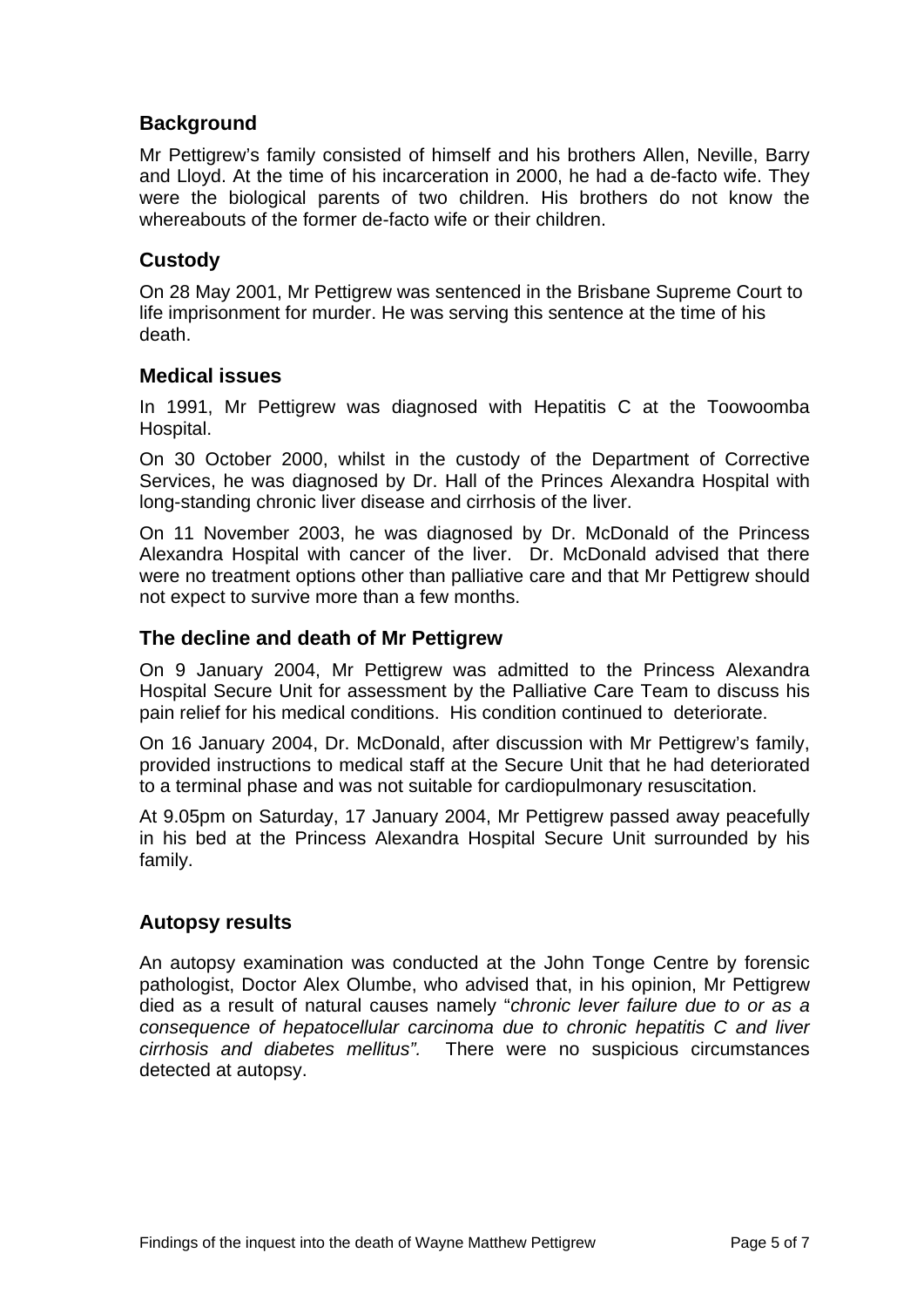## <span id="page-5-0"></span>**Background**

Mr Pettigrew's family consisted of himself and his brothers Allen, Neville, Barry and Lloyd. At the time of his incarceration in 2000, he had a de-facto wife. They were the biological parents of two children. His brothers do not know the whereabouts of the former de-facto wife or their children.

## **Custody**

On 28 May 2001, Mr Pettigrew was sentenced in the Brisbane Supreme Court to life imprisonment for murder. He was serving this sentence at the time of his death.

#### **Medical issues**

In 1991, Mr Pettigrew was diagnosed with Hepatitis C at the Toowoomba Hospital.

On 30 October 2000, whilst in the custody of the Department of Corrective Services, he was diagnosed by Dr. Hall of the Princes Alexandra Hospital with long-standing chronic liver disease and cirrhosis of the liver.

On 11 November 2003, he was diagnosed by Dr. McDonald of the Princess Alexandra Hospital with cancer of the liver. Dr. McDonald advised that there were no treatment options other than palliative care and that Mr Pettigrew should not expect to survive more than a few months.

#### **The decline and death of Mr Pettigrew**

On 9 January 2004, Mr Pettigrew was admitted to the Princess Alexandra Hospital Secure Unit for assessment by the Palliative Care Team to discuss his pain relief for his medical conditions. His condition continued to deteriorate.

On 16 January 2004, Dr. McDonald, after discussion with Mr Pettigrew's family, provided instructions to medical staff at the Secure Unit that he had deteriorated to a terminal phase and was not suitable for cardiopulmonary resuscitation.

At 9.05pm on Saturday, 17 January 2004, Mr Pettigrew passed away peacefully in his bed at the Princess Alexandra Hospital Secure Unit surrounded by his family.

#### **Autopsy results**

An autopsy examination was conducted at the John Tonge Centre by forensic pathologist, Doctor Alex Olumbe, who advised that, in his opinion, Mr Pettigrew died as a result of natural causes namely "*chronic lever failure due to or as a consequence of hepatocellular carcinoma due to chronic hepatitis C and liver cirrhosis and diabetes mellitus".* There were no suspicious circumstances detected at autopsy.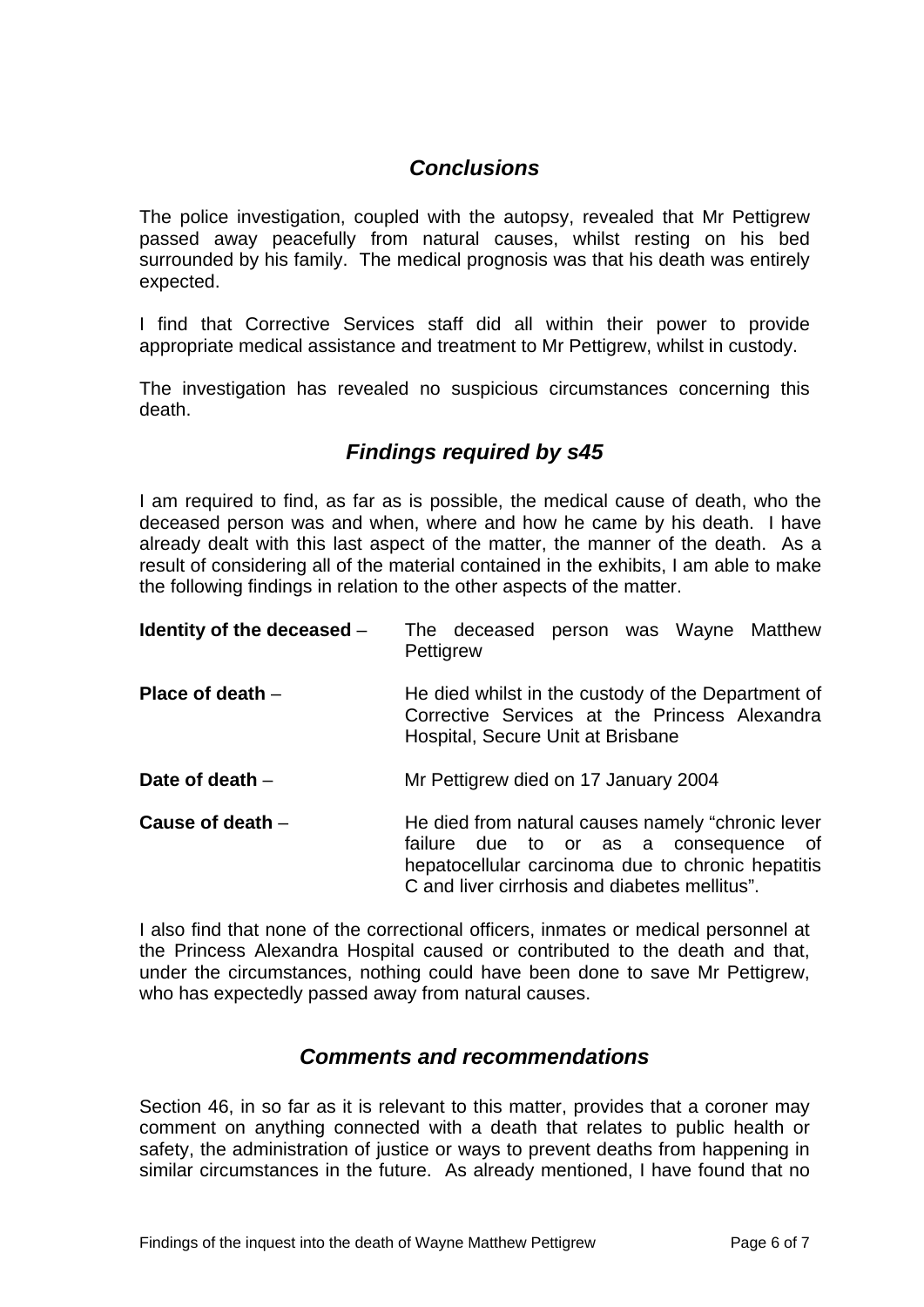# *Conclusions*

<span id="page-6-0"></span>The police investigation, coupled with the autopsy, revealed that Mr Pettigrew passed away peacefully from natural causes, whilst resting on his bed surrounded by his family. The medical prognosis was that his death was entirely expected.

I find that Corrective Services staff did all within their power to provide appropriate medical assistance and treatment to Mr Pettigrew, whilst in custody.

The investigation has revealed no suspicious circumstances concerning this death.

# *Findings required by s45*

I am required to find, as far as is possible, the medical cause of death, who the deceased person was and when, where and how he came by his death. I have already dealt with this last aspect of the matter, the manner of the death. As a result of considering all of the material contained in the exhibits, I am able to make the following findings in relation to the other aspects of the matter.

| Identity of the deceased - | The deceased person was Wayne Matthew<br>Pettigrew                                                                                                                                               |
|----------------------------|--------------------------------------------------------------------------------------------------------------------------------------------------------------------------------------------------|
| Place of death $-$         | He died whilst in the custody of the Department of<br>Corrective Services at the Princess Alexandra<br>Hospital, Secure Unit at Brisbane                                                         |
| Date of death $-$          | Mr Pettigrew died on 17 January 2004                                                                                                                                                             |
| Cause of death $-$         | He died from natural causes namely "chronic lever<br>failure due to or as a consequence of<br>hepatocellular carcinoma due to chronic hepatitis<br>C and liver cirrhosis and diabetes mellitus". |

I also find that none of the correctional officers, inmates or medical personnel at the Princess Alexandra Hospital caused or contributed to the death and that, under the circumstances, nothing could have been done to save Mr Pettigrew, who has expectedly passed away from natural causes.

## *Comments and recommendations*

Section 46, in so far as it is relevant to this matter, provides that a coroner may comment on anything connected with a death that relates to public health or safety, the administration of justice or ways to prevent deaths from happening in similar circumstances in the future. As already mentioned, I have found that no